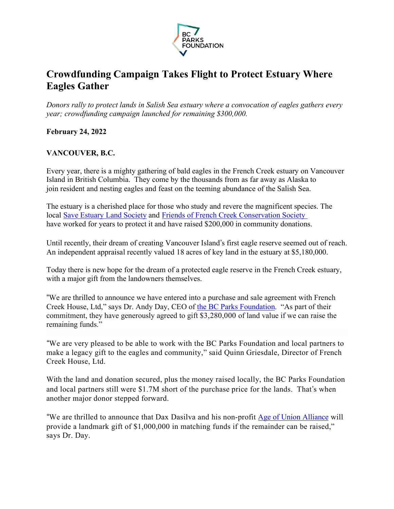

# **Crowdfunding Campaign Takes Flight to Protect Estuary Where Eagles Gather**

*Donors rally to protect lands in Salish Sea estuary where a convocation of eagles gathers every year; crowdfunding campaign launched for remaining \$300,000.*

## **February 24, 2022**

# **VANCOUVER, B.C.**

Every year, there is a mighty gathering of bald eagles in the French Creek estuary on Vancouver Island in British Columbia. They come by the thousands from as far away as Alaska to join resident and nesting eagles and feast on the teeming abundance of the Salish Sea.

The estuary is a cherished place for those who study and revere the magnificent species. The local Save Estuary Land Society and Friends of French Creek Conservation Society have worked for years to protect it and have raised \$200,000 in community donations.

Until recently, their dream of creating Vancouver Island's first eagle reserve seemed out of reach. An independent appraisal recently valued 18 acres of key land in the estuary at \$5,180,000.

Today there is new hope for the dream of a protected eagle reserve in the French Creek estuary, with a major gift from the landowners themselves.

"We are thrilled to announce we have entered into a purchase and sale agreement with French Creek House, Ltd," says Dr. Andy Day, CEO of the BC Parks Foundation. "As part of their commitment, they have generously agreed to gift \$3,280,000 of land value if we can raise the remaining funds."

"We are very pleased to be able to work with the BC Parks Foundation and local partners to make a legacy gift to the eagles and community," said Quinn Griesdale, Director of French Creek House, Ltd.

With the land and donation secured, plus the money raised locally, the BC Parks Foundation and local partners still were \$1.7M short of the purchase price for the lands. That's when another major donor stepped forward.

"We are thrilled to announce that Dax Dasilva and his non-profit Age of Union Alliance will provide a landmark gift of \$1,000,000 in matching funds if the remainder can be raised," says Dr. Day.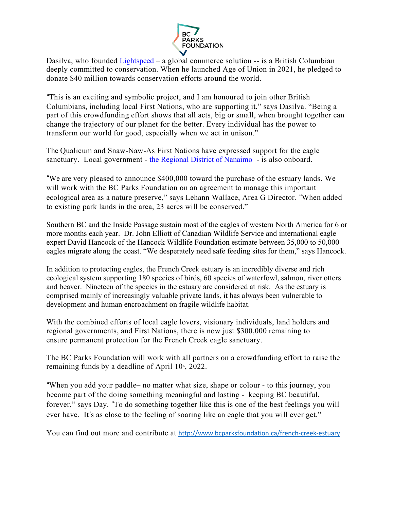

Dasilva, who founded Lightspeed – a global commerce solution -- is a British Columbian deeply committed to conservation. When he launched Age of Union in 2021, he pledged to donate \$40 million towards conservation efforts around the world.

"This is an exciting and symbolic project, and I am honoured to join other British Columbians, including local First Nations, who are supporting it," says Dasilva. "Being a part of this crowdfunding effort shows that all acts, big or small, when brought together can change the trajectory of our planet for the better. Every individual has the power to transform our world for good, especially when we act in unison."

The Qualicum and Snaw-Naw-As First Nations have expressed support for the eagle sanctuary. Local government - the Regional District of Nanaimo - is also onboard.

"We are very pleased to announce \$400,000 toward the purchase of the estuary lands. We will work with the BC Parks Foundation on an agreement to manage this important ecological area as a nature preserve," says Lehann Wallace, Area G Director. "When added to existing park lands in the area, 23 acres will be conserved."

Southern BC and the Inside Passage sustain most of the eagles of western North America for 6 or more months each year. Dr. John Elliott of Canadian Wildlife Service and international eagle expert David Hancock of the Hancock Wildlife Foundation estimate between 35,000 to 50,000 eagles migrate along the coast. "We desperately need safe feeding sites for them," says Hancock.

In addition to protecting eagles, the French Creek estuary is an incredibly diverse and rich ecological system supporting 180 species of birds, 60 species of waterfowl, salmon, river otters and beaver. Nineteen of the species in the estuary are considered at risk. As the estuary is comprised mainly of increasingly valuable private lands, it has always been vulnerable to development and human encroachment on fragile wildlife habitat.

With the combined efforts of local eagle lovers, visionary individuals, land holders and regional governments, and First Nations, there is now just \$300,000 remaining to ensure permanent protection for the French Creek eagle sanctuary.

The BC Parks Foundation will work with all partners on a crowdfunding effort to raise the remaining funds by a deadline of April  $10<sup>th</sup>$ , 2022.

"When you add your paddle– no matter what size, shape or colour - to this journey, you become part of the doing something meaningful and lasting - keeping BC beautiful, forever," says Day. "To do something together like this is one of the best feelings you will ever have. It's as close to the feeling of soaring like an eagle that you will ever get."

You can find out more and contribute at http://www.bcparksfoundation.ca/french-creek-estuary